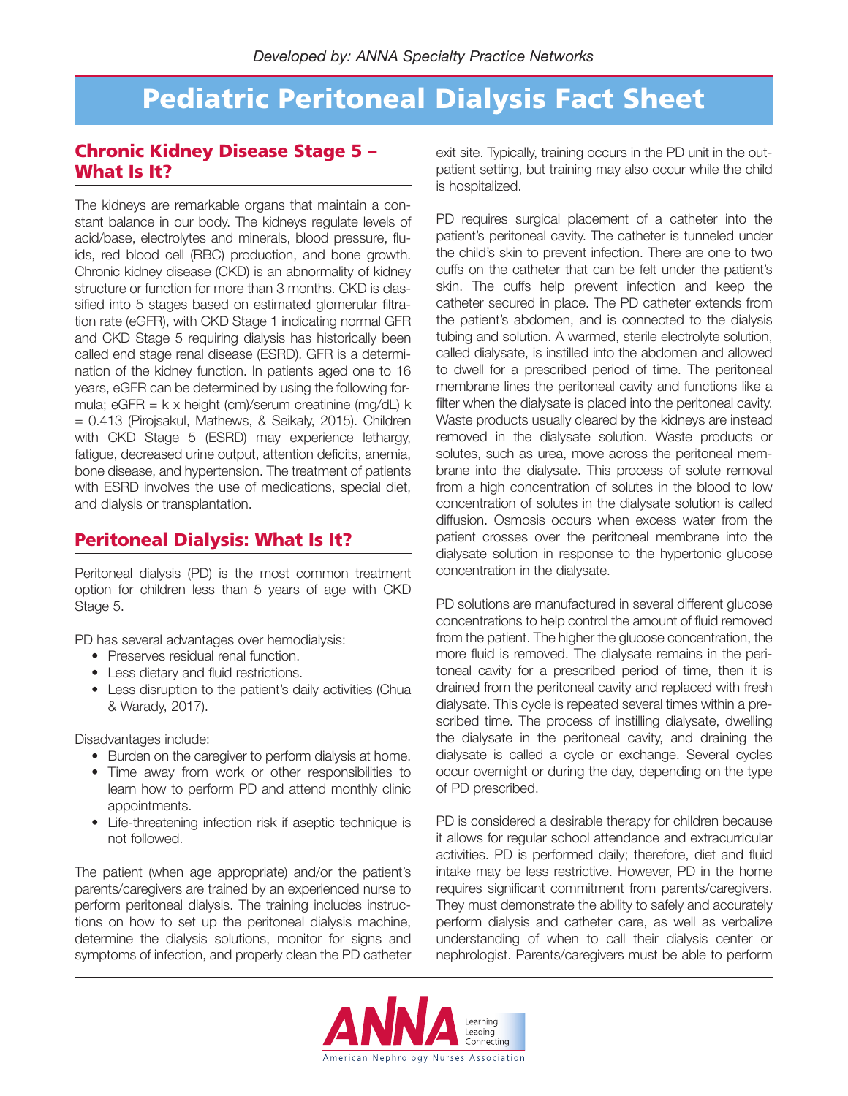## **Pediatric Peritoneal Dialysis Fact Sheet**

### **Chronic Kidney Disease Stage 5 – What Is It?**

The kidneys are remarkable organs that maintain a constant balance in our body. The kidneys regulate levels of acid/base, electrolytes and minerals, blood pressure, fluids, red blood cell (RBC) production, and bone growth. Chronic kidney disease (CKD) is an abnormality of kidney structure or function for more than 3 months. CKD is classified into 5 stages based on estimated glomerular filtration rate (eGFR), with CKD Stage 1 indicating normal GFR and CKD Stage 5 requiring dialysis has historically been called end stage renal disease (ESRD). GFR is a determination of the kidney function. In patients aged one to 16 years, eGFR can be determined by using the following formula;  $eGFR = k \times height$  (cm)/serum creatinine (mg/dL) k = 0.413 (Pirojsakul, Mathews, & Seikaly, 2015). Children with CKD Stage 5 (ESRD) may experience lethargy, fatigue, decreased urine output, attention deficits, anemia, bone disease, and hypertension. The treatment of patients with ESRD involves the use of medications, special diet, and dialysis or transplantation.

### **Peritoneal Dialysis: What Is It?**

Peritoneal dialysis (PD) is the most common treatment option for children less than 5 years of age with CKD Stage 5.

PD has several advantages over hemodialysis:

- Preserves residual renal function.
- Less dietary and fluid restrictions.
- Less disruption to the patient's daily activities (Chua & Warady, 2017).

Disadvantages include:

- Burden on the caregiver to perform dialysis at home.
- Time away from work or other responsibilities to learn how to perform PD and attend monthly clinic appointments.
- Life-threatening infection risk if aseptic technique is not followed.

The patient (when age appropriate) and/or the patient's parents/caregivers are trained by an experienced nurse to perform peritoneal dialysis. The training includes instructions on how to set up the peritoneal dialysis machine, determine the dialysis solutions, monitor for signs and symptoms of infection, and properly clean the PD catheter

exit site. Typically, training occurs in the PD unit in the outpatient setting, but training may also occur while the child is hospitalized.

PD requires surgical placement of a catheter into the patient's peritoneal cavity. The catheter is tunneled under the child's skin to prevent infection. There are one to two cuffs on the catheter that can be felt under the patient's skin. The cuffs help prevent infection and keep the catheter secured in place. The PD catheter extends from the patient's abdomen, and is connected to the dialysis tubing and solution. A warmed, sterile electrolyte solution, called dialysate, is instilled into the abdomen and allowed to dwell for a prescribed period of time. The peritoneal membrane lines the peritoneal cavity and functions like a filter when the dialysate is placed into the peritoneal cavity. Waste products usually cleared by the kidneys are instead removed in the dialysate solution. Waste products or solutes, such as urea, move across the peritoneal membrane into the dialysate. This process of solute removal from a high concentration of solutes in the blood to low concentration of solutes in the dialysate solution is called diffusion. Osmosis occurs when excess water from the patient crosses over the peritoneal membrane into the dialysate solution in response to the hypertonic glucose concentration in the dialysate.

PD solutions are manufactured in several different glucose concentrations to help control the amount of fluid removed from the patient. The higher the glucose concentration, the more fluid is removed. The dialysate remains in the peritoneal cavity for a prescribed period of time, then it is drained from the peritoneal cavity and replaced with fresh dialysate. This cycle is repeated several times within a prescribed time. The process of instilling dialysate, dwelling the dialysate in the peritoneal cavity, and draining the dialysate is called a cycle or exchange. Several cycles occur overnight or during the day, depending on the type of PD prescribed.

PD is considered a desirable therapy for children because it allows for regular school attendance and extracurricular activities. PD is performed daily; therefore, diet and fluid intake may be less restrictive. However, PD in the home requires significant commitment from parents/caregivers. They must demonstrate the ability to safely and accurately perform dialysis and catheter care, as well as verbalize understanding of when to call their dialysis center or nephrologist. Parents/caregivers must be able to perform

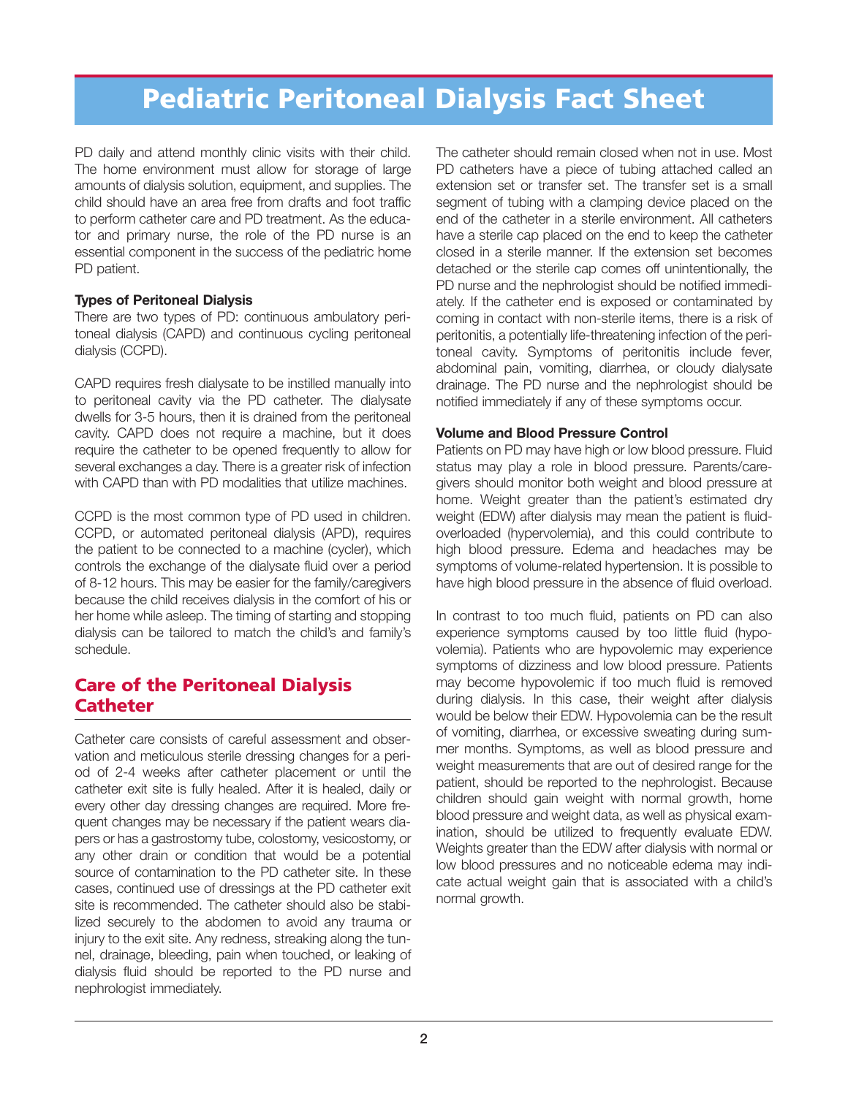## **Pediatric Peritoneal Dialysis Fact Sheet**

PD daily and attend monthly clinic visits with their child. The home environment must allow for storage of large amounts of dialysis solution, equipment, and supplies. The child should have an area free from drafts and foot traffic to perform catheter care and PD treatment. As the educator and primary nurse, the role of the PD nurse is an essential component in the success of the pediatric home PD patient.

#### **Types of Peritoneal Dialysis**

There are two types of PD: continuous ambulatory peritoneal dialysis (CAPD) and continuous cycling peritoneal dialysis (CCPD).

CAPD requires fresh dialysate to be instilled manually into to peritoneal cavity via the PD catheter. The dialysate dwells for 3-5 hours, then it is drained from the peritoneal cavity. CAPD does not require a machine, but it does require the catheter to be opened frequently to allow for several exchanges a day. There is a greater risk of infection with CAPD than with PD modalities that utilize machines.

CCPD is the most common type of PD used in children. CCPD, or automated peritoneal dialysis (APD), requires the patient to be connected to a machine (cycler), which controls the exchange of the dialysate fluid over a period of 8-12 hours. This may be easier for the family/caregivers because the child receives dialysis in the comfort of his or her home while asleep. The timing of starting and stopping dialysis can be tailored to match the child's and family's schedule.

## **Care of the Peritoneal Dialysis Catheter**

Catheter care consists of careful assessment and observation and meticulous sterile dressing changes for a period of 2-4 weeks after catheter placement or until the catheter exit site is fully healed. After it is healed, daily or every other day dressing changes are required. More frequent changes may be necessary if the patient wears diapers or has a gastrostomy tube, colostomy, vesicostomy, or any other drain or condition that would be a potential source of contamination to the PD catheter site. In these cases, continued use of dressings at the PD catheter exit site is recommended. The catheter should also be stabilized securely to the abdomen to avoid any trauma or injury to the exit site. Any redness, streaking along the tunnel, drainage, bleeding, pain when touched, or leaking of dialysis fluid should be reported to the PD nurse and nephrologist immediately.

The catheter should remain closed when not in use. Most PD catheters have a piece of tubing attached called an extension set or transfer set. The transfer set is a small segment of tubing with a clamping device placed on the end of the catheter in a sterile environment. All catheters have a sterile cap placed on the end to keep the catheter closed in a sterile manner. If the extension set becomes detached or the sterile cap comes off unintentionally, the PD nurse and the nephrologist should be notified immediately. If the catheter end is exposed or contaminated by coming in contact with non-sterile items, there is a risk of peritonitis, a potentially life-threatening infection of the peritoneal cavity. Symptoms of peritonitis include fever, abdominal pain, vomiting, diarrhea, or cloudy dialysate drainage. The PD nurse and the nephrologist should be notified immediately if any of these symptoms occur.

#### **Volume and Blood Pressure Control**

Patients on PD may have high or low blood pressure. Fluid status may play a role in blood pressure. Parents/caregivers should monitor both weight and blood pressure at home. Weight greater than the patient's estimated dry weight (EDW) after dialysis may mean the patient is fluidoverloaded (hypervolemia), and this could contribute to high blood pressure. Edema and headaches may be symptoms of volume-related hypertension. It is possible to have high blood pressure in the absence of fluid overload.

In contrast to too much fluid, patients on PD can also experience symptoms caused by too little fluid (hypovolemia). Patients who are hypovolemic may experience symptoms of dizziness and low blood pressure. Patients may become hypovolemic if too much fluid is removed during dialysis. In this case, their weight after dialysis would be below their EDW. Hypovolemia can be the result of vomiting, diarrhea, or excessive sweating during summer months. Symptoms, as well as blood pressure and weight measurements that are out of desired range for the patient, should be reported to the nephrologist. Because children should gain weight with normal growth, home blood pressure and weight data, as well as physical examination, should be utilized to frequently evaluate EDW. Weights greater than the EDW after dialysis with normal or low blood pressures and no noticeable edema may indicate actual weight gain that is associated with a child's normal growth.